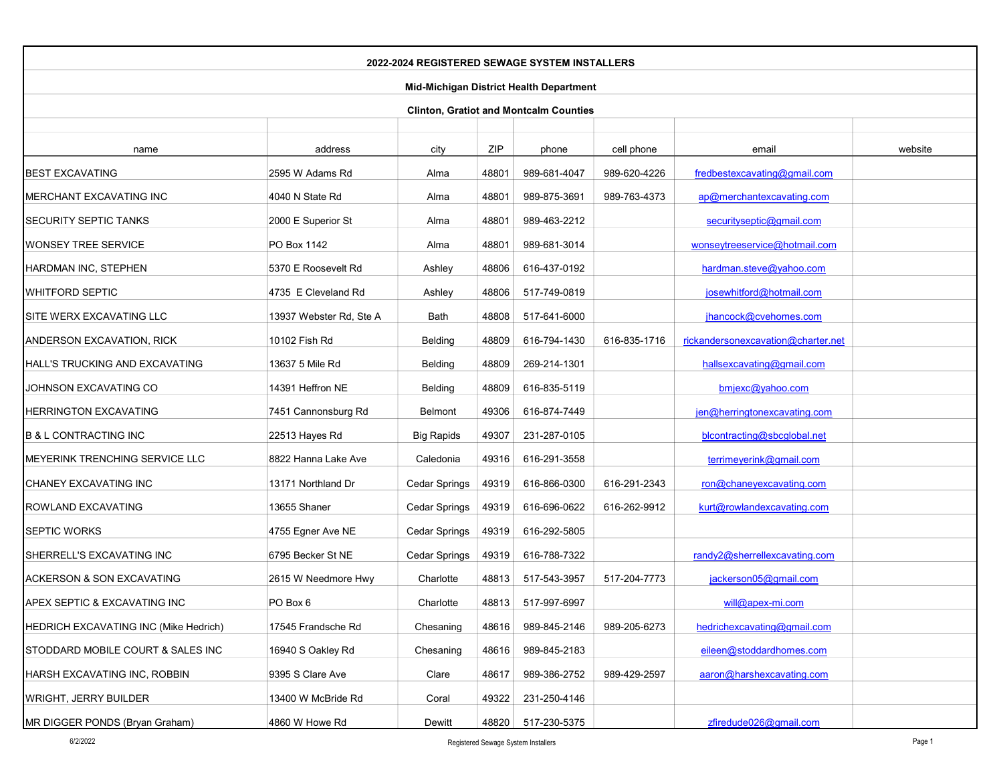| 2022-2024 REGISTERED SEWAGE SYSTEM INSTALLERS |                         |                      |       |                    |              |                                    |         |  |  |
|-----------------------------------------------|-------------------------|----------------------|-------|--------------------|--------------|------------------------------------|---------|--|--|
| Mid-Michigan District Health Department       |                         |                      |       |                    |              |                                    |         |  |  |
| <b>Clinton, Gratiot and Montcalm Counties</b> |                         |                      |       |                    |              |                                    |         |  |  |
|                                               |                         |                      |       |                    |              |                                    |         |  |  |
| name                                          | address                 | city                 | ZIP   | phone              | cell phone   | email                              | website |  |  |
| <b>BEST EXCAVATING</b>                        | 2595 W Adams Rd         | Alma                 | 48801 | 989-681-4047       | 989-620-4226 | fredbestexcavating@gmail.com       |         |  |  |
| <b>MERCHANT EXCAVATING INC</b>                | 4040 N State Rd         | Alma                 | 48801 | 989-875-3691       | 989-763-4373 | ap@merchantexcavating.com          |         |  |  |
| <b>SECURITY SEPTIC TANKS</b>                  | 2000 E Superior St      | Alma                 | 48801 | 989-463-2212       |              | securityseptic@gmail.com           |         |  |  |
| WONSEY TREE SERVICE                           | PO Box 1142             | Alma                 | 48801 | 989-681-3014       |              | wonseytreeservice@hotmail.com      |         |  |  |
| HARDMAN INC, STEPHEN                          | 5370 E Roosevelt Rd     | Ashley               | 48806 | 616-437-0192       |              | hardman.steve@yahoo.com            |         |  |  |
| WHITFORD SEPTIC                               | 4735 E Cleveland Rd     | Ashley               | 48806 | 517-749-0819       |              | josewhitford@hotmail.com           |         |  |  |
| SITE WERX EXCAVATING LLC                      | 13937 Webster Rd, Ste A | Bath                 | 48808 | 517-641-6000       |              | jhancock@cvehomes.com              |         |  |  |
| ANDERSON EXCAVATION, RICK                     | 10102 Fish Rd           | Belding              | 48809 | 616-794-1430       | 616-835-1716 | rickandersonexcavation@charter.net |         |  |  |
| <b>HALL'S TRUCKING AND EXCAVATING</b>         | 13637 5 Mile Rd         | Belding              | 48809 | 269-214-1301       |              | hallsexcavating@gmail.com          |         |  |  |
| JOHNSON EXCAVATING CO                         | 14391 Heffron NE        | Belding              | 48809 | 616-835-5119       |              | bmjexc@yahoo.com                   |         |  |  |
| <b>HERRINGTON EXCAVATING</b>                  | 7451 Cannonsburg Rd     | <b>Belmont</b>       | 49306 | 616-874-7449       |              | jen@herringtonexcavating.com       |         |  |  |
| <b>B &amp; L CONTRACTING INC</b>              | 22513 Hayes Rd          | <b>Big Rapids</b>    | 49307 | 231-287-0105       |              | blcontracting@sbcglobal.net        |         |  |  |
| MEYERINK TRENCHING SERVICE LLC                | 8822 Hanna Lake Ave     | Caledonia            | 49316 | 616-291-3558       |              | terrimeyerink@gmail.com            |         |  |  |
| CHANEY EXCAVATING INC                         | 13171 Northland Dr      | Cedar Springs        | 49319 | 616-866-0300       | 616-291-2343 | ron@chaneyexcavating.com           |         |  |  |
| ROWLAND EXCAVATING                            | 13655 Shaner            | <b>Cedar Springs</b> | 49319 | 616-696-0622       | 616-262-9912 | kurt@rowlandexcavating.com         |         |  |  |
| <b>SEPTIC WORKS</b>                           | 4755 Egner Ave NE       | Cedar Springs        | 49319 | 616-292-5805       |              |                                    |         |  |  |
| SHERRELL'S EXCAVATING INC                     | 6795 Becker St NE       | <b>Cedar Springs</b> | 49319 | 616-788-7322       |              | randy2@sherrellexcavating.com      |         |  |  |
| <b>ACKERSON &amp; SON EXCAVATING</b>          | 2615 W Needmore Hwy     | Charlotte            | 48813 | 517-543-3957       | 517-204-7773 | jackerson05@gmail.com              |         |  |  |
| APEX SEPTIC & EXCAVATING INC                  | PO Box 6                | Charlotte            | 48813 | 517-997-6997       |              | will@apex-mi.com                   |         |  |  |
| HEDRICH EXCAVATING INC (Mike Hedrich)         | 17545 Frandsche Rd      | Chesaning            | 48616 | 989-845-2146       | 989-205-6273 | hedrichexcavating@gmail.com        |         |  |  |
| STODDARD MOBILE COURT & SALES INC             | 16940 S Oakley Rd       | Chesaning            | 48616 | 989-845-2183       |              | eileen@stoddardhomes.com           |         |  |  |
| HARSH EXCAVATING INC, ROBBIN                  | 9395 S Clare Ave        | Clare                | 48617 | 989-386-2752       | 989-429-2597 | aaron@harshexcavating.com          |         |  |  |
| <b>WRIGHT, JERRY BUILDER</b>                  | 13400 W McBride Rd      | Coral                | 49322 | 231-250-4146       |              |                                    |         |  |  |
| MR DIGGER PONDS (Bryan Graham)                | 4860 W Howe Rd          | Dewitt               |       | 48820 517-230-5375 |              | zfiredude026@gmail.com             |         |  |  |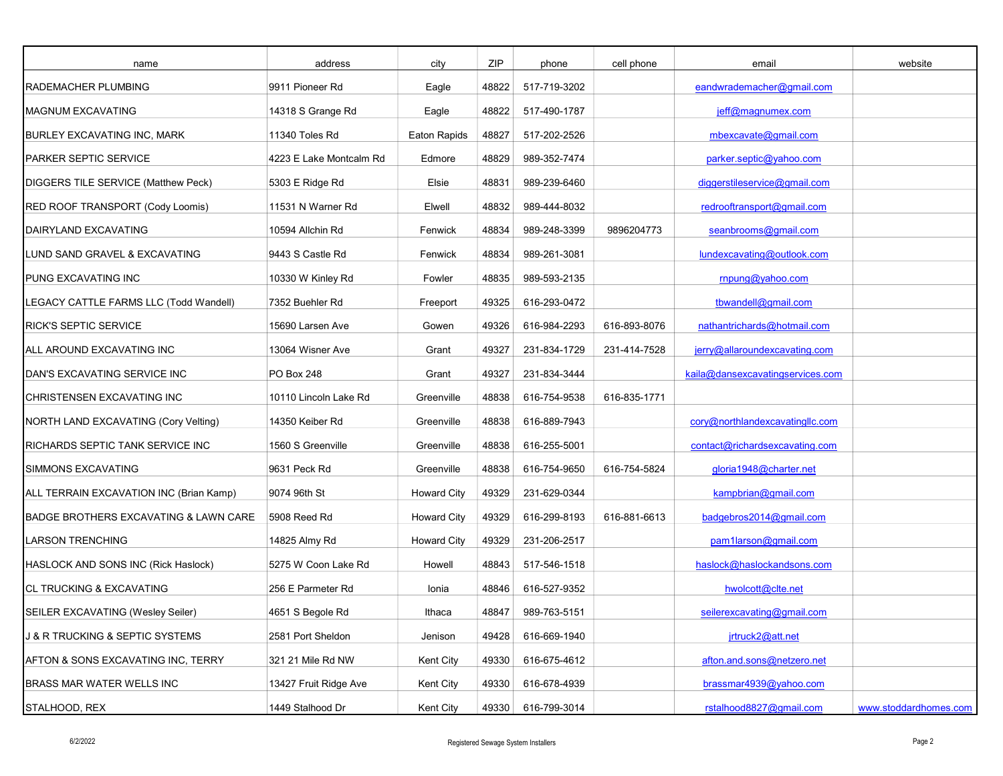| name                                           | address                 | city               | ZIP   | phone        | cell phone   | email                            | website               |
|------------------------------------------------|-------------------------|--------------------|-------|--------------|--------------|----------------------------------|-----------------------|
| <b>RADEMACHER PLUMBING</b>                     | 9911 Pioneer Rd         | Eagle              | 48822 | 517-719-3202 |              | eandwrademacher@gmail.com        |                       |
| <b>MAGNUM EXCAVATING</b>                       | 14318 S Grange Rd       | Eagle              | 48822 | 517-490-1787 |              | jeff@magnumex.com                |                       |
| BURLEY EXCAVATING INC, MARK                    | 11340 Toles Rd          | Eaton Rapids       | 48827 | 517-202-2526 |              | mbexcavate@gmail.com             |                       |
| PARKER SEPTIC SERVICE                          | 4223 E Lake Montcalm Rd | Edmore             | 48829 | 989-352-7474 |              | parker.septic@yahoo.com          |                       |
| DIGGERS TILE SERVICE (Matthew Peck)            | 5303 E Ridge Rd         | Elsie              | 48831 | 989-239-6460 |              | diggerstileservice@gmail.com     |                       |
| RED ROOF TRANSPORT (Cody Loomis)               | 11531 N Warner Rd       | Elwell             | 48832 | 989-444-8032 |              | redrooftransport@gmail.com       |                       |
| DAIRYLAND EXCAVATING                           | 10594 Allchin Rd        | Fenwick            | 48834 | 989-248-3399 | 9896204773   | seanbrooms@gmail.com             |                       |
| LUND SAND GRAVEL & EXCAVATING                  | 9443 S Castle Rd        | Fenwick            | 48834 | 989-261-3081 |              | lundexcavating@outlook.com       |                       |
| PUNG EXCAVATING INC                            | 10330 W Kinley Rd       | Fowler             | 48835 | 989-593-2135 |              | rnpung@yahoo.com                 |                       |
| LEGACY CATTLE FARMS LLC (Todd Wandell)         | 7352 Buehler Rd         | Freeport           | 49325 | 616-293-0472 |              | tbwandell@gmail.com              |                       |
| <b>RICK'S SEPTIC SERVICE</b>                   | 15690 Larsen Ave        | Gowen              | 49326 | 616-984-2293 | 616-893-8076 | nathantrichards@hotmail.com      |                       |
| ALL AROUND EXCAVATING INC                      | 13064 Wisner Ave        | Grant              | 49327 | 231-834-1729 | 231-414-7528 | jerry@allaroundexcavating.com    |                       |
| DAN'S EXCAVATING SERVICE INC                   | PO Box 248              | Grant              | 49327 | 231-834-3444 |              | kaila@dansexcavatingservices.com |                       |
| CHRISTENSEN EXCAVATING INC                     | 10110 Lincoln Lake Rd   | Greenville         | 48838 | 616-754-9538 | 616-835-1771 |                                  |                       |
| NORTH LAND EXCAVATING (Cory Velting)           | 14350 Keiber Rd         | Greenville         | 48838 | 616-889-7943 |              | cory@northlandexcavatingllc.com  |                       |
| <b>RICHARDS SEPTIC TANK SERVICE INC</b>        | 1560 S Greenville       | Greenville         | 48838 | 616-255-5001 |              | contact@richardsexcavating.com   |                       |
| SIMMONS EXCAVATING                             | 9631 Peck Rd            | Greenville         | 48838 | 616-754-9650 | 616-754-5824 | gloria1948@charter.net           |                       |
| ALL TERRAIN EXCAVATION INC (Brian Kamp)        | 9074 96th St            | <b>Howard City</b> | 49329 | 231-629-0344 |              | kampbrian@gmail.com              |                       |
| BADGE BROTHERS EXCAVATING & LAWN CARE          | 5908 Reed Rd            | <b>Howard City</b> | 49329 | 616-299-8193 | 616-881-6613 | badgebros2014@gmail.com          |                       |
| <b>LARSON TRENCHING</b>                        | 14825 Almy Rd           | <b>Howard City</b> | 49329 | 231-206-2517 |              | pam1larson@gmail.com             |                       |
| HASLOCK AND SONS INC (Rick Haslock)            | 5275 W Coon Lake Rd     | Howell             | 48843 | 517-546-1518 |              | haslock@haslockandsons.com       |                       |
| <b>CL TRUCKING &amp; EXCAVATING</b>            | 256 E Parmeter Rd       | Ionia              | 48846 | 616-527-9352 |              | hwolcott@clte.net                |                       |
| SEILER EXCAVATING (Wesley Seiler)              | 4651 S Begole Rd        | Ithaca             | 48847 | 989-763-5151 |              | seilerexcavating@gmail.com       |                       |
| <b>J &amp; R TRUCKING &amp; SEPTIC SYSTEMS</b> | 2581 Port Sheldon       | Jenison            | 49428 | 616-669-1940 |              | jrtruck2@att.net                 |                       |
| AFTON & SONS EXCAVATING INC, TERRY             | 321 21 Mile Rd NW       | Kent City          | 49330 | 616-675-4612 |              | afton.and.sons@netzero.net       |                       |
| BRASS MAR WATER WELLS INC                      | 13427 Fruit Ridge Ave   | Kent City          | 49330 | 616-678-4939 |              | brassmar4939@yahoo.com           |                       |
| STALHOOD, REX                                  | 1449 Stalhood Dr        | Kent City          | 49330 | 616-799-3014 |              | rstalhood8827@gmail.com          | www.stoddardhomes.com |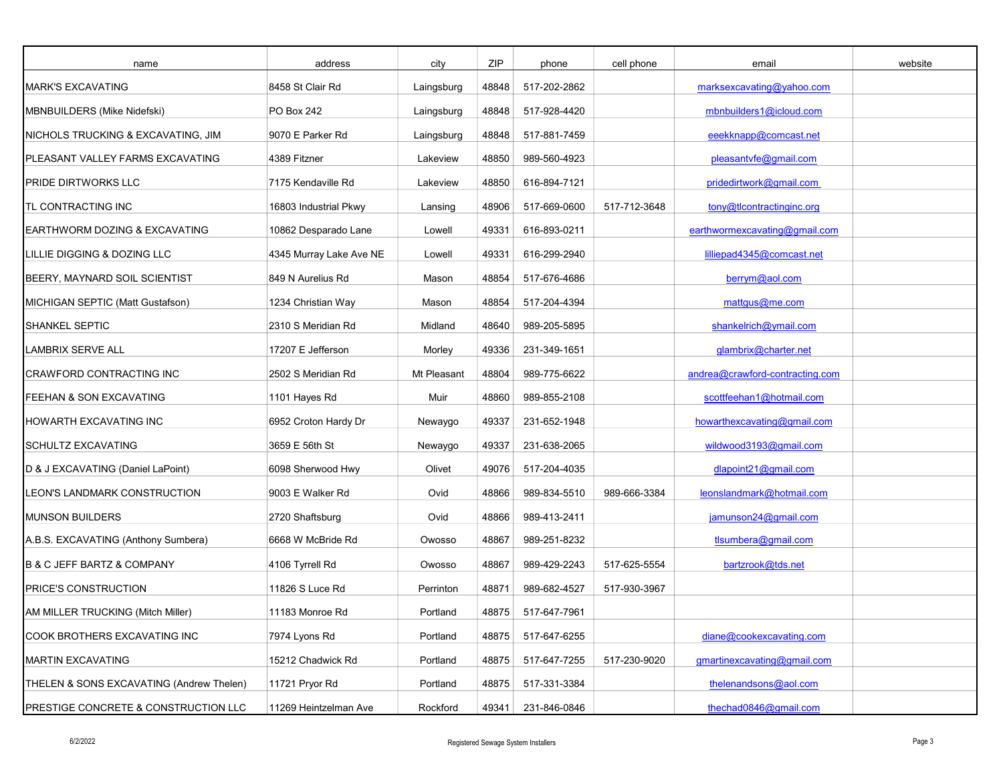| name                                     | address                 | city        | ZIP   | phone        | cell phone   | email                           | website |
|------------------------------------------|-------------------------|-------------|-------|--------------|--------------|---------------------------------|---------|
| <b>MARK'S EXCAVATING</b>                 | 8458 St Clair Rd        | Laingsburg  | 48848 | 517-202-2862 |              | marksexcavating@vahoo.com       |         |
| MBNBUILDERS (Mike Nidefski)              | PO Box 242              | Laingsburg  | 48848 | 517-928-4420 |              | mbnbuilders1@icloud.com         |         |
| NICHOLS TRUCKING & EXCAVATING, JIM       | 9070 E Parker Rd        | Laingsburg  | 48848 | 517-881-7459 |              | eeekknapp@comcast.net           |         |
| PLEASANT VALLEY FARMS EXCAVATING         | 4389 Fitzner            | Lakeview    | 48850 | 989-560-4923 |              | pleasantvfe@gmail.com           |         |
| <b>PRIDE DIRTWORKS LLC</b>               | 7175 Kendaville Rd      | Lakeview    | 48850 | 616-894-7121 |              | pridedirtwork@gmail.com         |         |
| TL CONTRACTING INC                       | 16803 Industrial Pkwy   | Lansing     | 48906 | 517-669-0600 | 517-712-3648 | tony@tlcontractinginc.org       |         |
| EARTHWORM DOZING & EXCAVATING            | 10862 Desparado Lane    | Lowell      | 49331 | 616-893-0211 |              | earthwormexcavating@gmail.com   |         |
| LILLIE DIGGING & DOZING LLC              | 4345 Murray Lake Ave NE | Lowell      | 49331 | 616-299-2940 |              | lilliepad4345@comcast.net       |         |
| BEERY, MAYNARD SOIL SCIENTIST            | 849 N Aurelius Rd       | Mason       | 48854 | 517-676-4686 |              | berrym@aol.com                  |         |
| MICHIGAN SEPTIC (Matt Gustafson)         | 1234 Christian Way      | Mason       | 48854 | 517-204-4394 |              | mattqus@me.com                  |         |
| <b>SHANKEL SEPTIC</b>                    | 2310 S Meridian Rd      | Midland     | 48640 | 989-205-5895 |              | shankelrich@ymail.com           |         |
| <b>LAMBRIX SERVE ALL</b>                 | 17207 E Jefferson       | Morley      | 49336 | 231-349-1651 |              | glambrix@charter.net            |         |
| CRAWFORD CONTRACTING INC                 | 2502 S Meridian Rd      | Mt Pleasant | 48804 | 989-775-6622 |              | andrea@crawford-contracting.com |         |
| FEEHAN & SON EXCAVATING                  | 1101 Hayes Rd           | Muir        | 48860 | 989-855-2108 |              | scottfeehan1@hotmail.com        |         |
| HOWARTH EXCAVATING INC                   | 6952 Croton Hardy Dr    | Newaygo     | 49337 | 231-652-1948 |              | howarthexcavating@gmail.com     |         |
| <b>SCHULTZ EXCAVATING</b>                | 3659 E 56th St          | Newaygo     | 49337 | 231-638-2065 |              | wildwood3193@gmail.com          |         |
| D & J EXCAVATING (Daniel LaPoint)        | 6098 Sherwood Hwy       | Olivet      | 49076 | 517-204-4035 |              | dlapoint21@gmail.com            |         |
| LEON'S LANDMARK CONSTRUCTION             | 9003 E Walker Rd        | Ovid        | 48866 | 989-834-5510 | 989-666-3384 | leonslandmark@hotmail.com       |         |
| <b>MUNSON BUILDERS</b>                   | 2720 Shaftsburg         | Ovid        | 48866 | 989-413-2411 |              | jamunson24@gmail.com            |         |
| A.B.S. EXCAVATING (Anthony Sumbera)      | 6668 W McBride Rd       | Owosso      | 48867 | 989-251-8232 |              | tlsumbera@gmail.com             |         |
| B & C JEFF BARTZ & COMPANY               | 4106 Tyrrell Rd         | Owosso      | 48867 | 989-429-2243 | 517-625-5554 | bartzrook@tds.net               |         |
| <b>PRICE'S CONSTRUCTION</b>              | 11826 S Luce Rd         | Perrinton   | 48871 | 989-682-4527 | 517-930-3967 |                                 |         |
| AM MILLER TRUCKING (Mitch Miller)        | 11183 Monroe Rd         | Portland    | 48875 | 517-647-7961 |              |                                 |         |
| COOK BROTHERS EXCAVATING INC             | 7974 Lyons Rd           | Portland    | 48875 | 517-647-6255 |              | diane@cookexcavating.com        |         |
| <b>MARTIN EXCAVATING</b>                 | 15212 Chadwick Rd       | Portland    | 48875 | 517-647-7255 | 517-230-9020 | gmartinexcavating@gmail.com     |         |
| THELEN & SONS EXCAVATING (Andrew Thelen) | 11721 Pryor Rd          | Portland    | 48875 | 517-331-3384 |              | thelenandsons@aol.com           |         |
| PRESTIGE CONCRETE & CONSTRUCTION LLC     | 11269 Heintzelman Ave   | Rockford    | 49341 | 231-846-0846 |              | thechad0846@gmail.com           |         |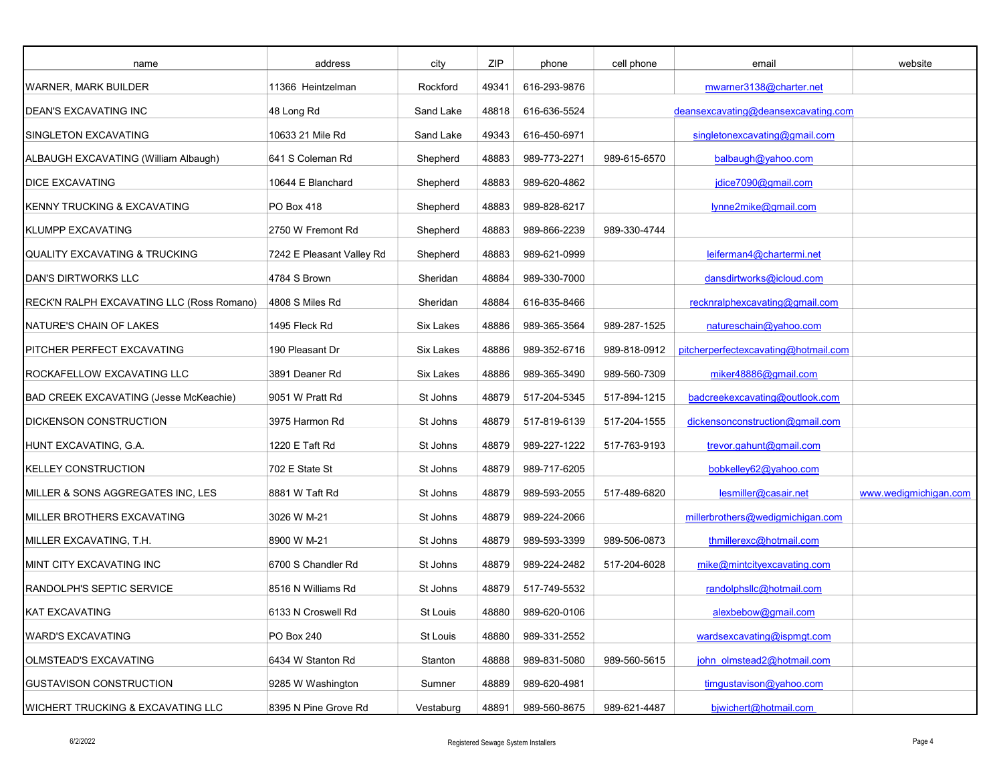| name                                         | address                   | city      | ZIP   | phone        | cell phone   | email                                | website               |
|----------------------------------------------|---------------------------|-----------|-------|--------------|--------------|--------------------------------------|-----------------------|
| <b>WARNER, MARK BUILDER</b>                  | 11366 Heintzelman         | Rockford  | 49341 | 616-293-9876 |              | mwarner3138@charter.net              |                       |
| <b>DEAN'S EXCAVATING INC</b>                 | 48 Long Rd                | Sand Lake | 48818 | 616-636-5524 |              | deansexcavating@deansexcavating.com  |                       |
| SINGLETON EXCAVATING                         | 10633 21 Mile Rd          | Sand Lake | 49343 | 616-450-6971 |              | singletonexcavating@gmail.com        |                       |
| ALBAUGH EXCAVATING (William Albaugh)         | 641 S Coleman Rd          | Shepherd  | 48883 | 989-773-2271 | 989-615-6570 | balbaugh@yahoo.com                   |                       |
| <b>DICE EXCAVATING</b>                       | 10644 E Blanchard         | Shepherd  | 48883 | 989-620-4862 |              | jdice7090@gmail.com                  |                       |
| KENNY TRUCKING & EXCAVATING                  | PO Box 418                | Shepherd  | 48883 | 989-828-6217 |              | lynne2mike@gmail.com                 |                       |
| <b>KLUMPP EXCAVATING</b>                     | 2750 W Fremont Rd         | Shepherd  | 48883 | 989-866-2239 | 989-330-4744 |                                      |                       |
| <b>QUALITY EXCAVATING &amp; TRUCKING</b>     | 7242 E Pleasant Valley Rd | Shepherd  | 48883 | 989-621-0999 |              | leiferman4@chartermi.net             |                       |
| DAN'S DIRTWORKS LLC                          | 4784 S Brown              | Sheridan  | 48884 | 989-330-7000 |              | dansdirtworks@icloud.com             |                       |
| RECK'N RALPH EXCAVATING LLC (Ross Romano)    | 4808 S Miles Rd           | Sheridan  | 48884 | 616-835-8466 |              | recknralphexcavating@gmail.com       |                       |
| NATURE'S CHAIN OF LAKES                      | 1495 Fleck Rd             | Six Lakes | 48886 | 989-365-3564 | 989-287-1525 | natureschain@yahoo.com               |                       |
| PITCHER PERFECT EXCAVATING                   | 190 Pleasant Dr           | Six Lakes | 48886 | 989-352-6716 | 989-818-0912 | pitcherperfectexcavating@hotmail.com |                       |
| ROCKAFELLOW EXCAVATING LLC                   | 3891 Deaner Rd            | Six Lakes | 48886 | 989-365-3490 | 989-560-7309 | miker48886@gmail.com                 |                       |
| BAD CREEK EXCAVATING (Jesse McKeachie)       | 9051 W Pratt Rd           | St Johns  | 48879 | 517-204-5345 | 517-894-1215 | badcreekexcavating@outlook.com       |                       |
| <b>DICKENSON CONSTRUCTION</b>                | 3975 Harmon Rd            | St Johns  | 48879 | 517-819-6139 | 517-204-1555 | dickensonconstruction@gmail.com      |                       |
| HUNT EXCAVATING, G.A.                        | 1220 E Taft Rd            | St Johns  | 48879 | 989-227-1222 | 517-763-9193 | trevor.gahunt@gmail.com              |                       |
| <b>KELLEY CONSTRUCTION</b>                   | 702 E State St            | St Johns  | 48879 | 989-717-6205 |              | bobkelley62@yahoo.com                |                       |
| MILLER & SONS AGGREGATES INC, LES            | 8881 W Taft Rd            | St Johns  | 48879 | 989-593-2055 | 517-489-6820 | lesmiller@casair.net                 | www.wedigmichigan.com |
| MILLER BROTHERS EXCAVATING                   | 3026 W M-21               | St Johns  | 48879 | 989-224-2066 |              | millerbrothers@wedigmichigan.com     |                       |
| MILLER EXCAVATING, T.H.                      | 8900 W M-21               | St Johns  | 48879 | 989-593-3399 | 989-506-0873 | thmillerexc@hotmail.com              |                       |
| MINT CITY EXCAVATING INC                     | 6700 S Chandler Rd        | St Johns  | 48879 | 989-224-2482 | 517-204-6028 | mike@mintcityexcavating.com          |                       |
| <b>RANDOLPH'S SEPTIC SERVICE</b>             | 8516 N Williams Rd        | St Johns  | 48879 | 517-749-5532 |              | randolphsllc@hotmail.com             |                       |
| KAT EXCAVATING                               | 6133 N Croswell Rd        | St Louis  | 48880 | 989-620-0106 |              | alexbebow@gmail.com                  |                       |
| <b>WARD'S EXCAVATING</b>                     | PO Box 240                | St Louis  | 48880 | 989-331-2552 |              | wardsexcavating@ispmgt.com           |                       |
| OLMSTEAD'S EXCAVATING                        | 6434 W Stanton Rd         | Stanton   | 48888 | 989-831-5080 | 989-560-5615 | john olmstead2@hotmail.com           |                       |
| <b>GUSTAVISON CONSTRUCTION</b>               | 9285 W Washington         | Sumner    | 48889 | 989-620-4981 |              | timqustavison@yahoo.com              |                       |
| <b>WICHERT TRUCKING &amp; EXCAVATING LLC</b> | 8395 N Pine Grove Rd      | Vestaburg | 48891 | 989-560-8675 | 989-621-4487 | bjwichert@hotmail.com                |                       |